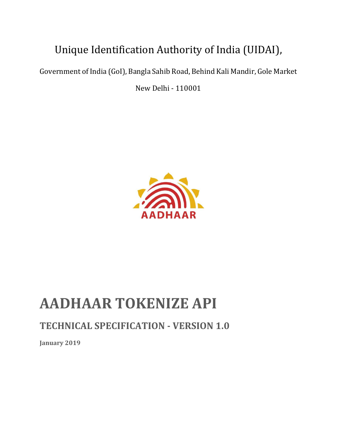# Unique Identification Authority of India (UIDAI),

Government of India (GoI), Bangla Sahib Road, Behind Kali Mandir, Gole Market

New Delhi - 110001



# **AADHAAR TOKENIZE API**

# **TECHNICAL SPECIFICATION - VERSION 1.0**

**January 2019**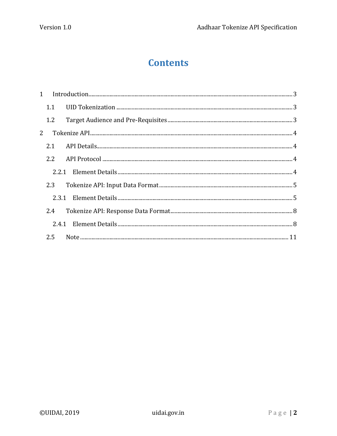# **Contents**

| 1.1 |  |
|-----|--|
| 1.2 |  |
|     |  |
|     |  |
|     |  |
|     |  |
| 2.3 |  |
|     |  |
| 2.4 |  |
|     |  |
|     |  |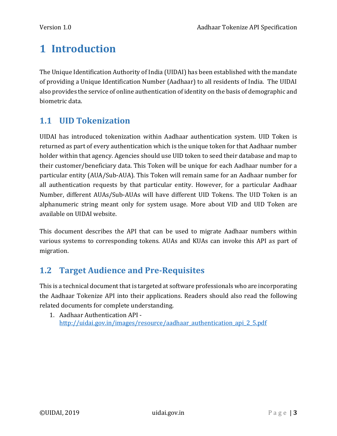# <span id="page-2-0"></span>**1 Introduction**

The Unique Identification Authority of India (UIDAI) has been established with the mandate of providing a Unique Identification Number (Aadhaar) to all residents of India. The UIDAI also provides the service of online authentication of identity on the basis of demographic and biometric data.

# <span id="page-2-1"></span>**1.1 UID Tokenization**

UIDAI has introduced tokenization within Aadhaar authentication system. UID Token is returned as part of every authentication which is the unique token for that Aadhaar number holder within that agency. Agencies should use UID token to seed their database and map to their customer/beneficiary data. This Token will be unique for each Aadhaar number for a particular entity (AUA/Sub-AUA). This Token will remain same for an Aadhaar number for all authentication requests by that particular entity. However, for a particular Aadhaar Number, different AUAs/Sub-AUAs will have different UID Tokens. The UID Token is an alphanumeric string meant only for system usage. More about VID and UID Token are available on UIDAI website.

This document describes the API that can be used to migrate Aadhaar numbers within various systems to corresponding tokens. AUAs and KUAs can invoke this API as part of migration.

# <span id="page-2-2"></span>**1.2 Target Audience and Pre-Requisites**

This is a technical document that is targeted at software professionals who are incorporating the Aadhaar Tokenize API into their applications. Readers should also read the following related documents for complete understanding.

1. Aadhaar Authentication API [http://uidai.gov.in/images/resource/aadhaar\\_authentication\\_api\\_2\\_5.pdf](http://uidai.gov.in/images/resource/aadhaar_authentication_api_2_5.pdf)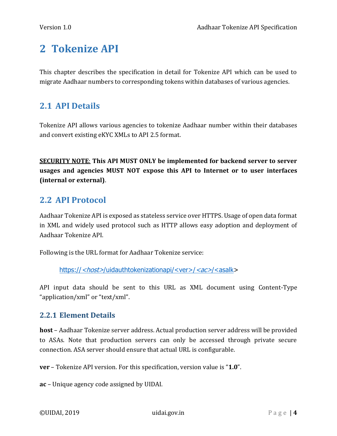# <span id="page-3-0"></span>**2 Tokenize API**

This chapter describes the specification in detail for Tokenize API which can be used to migrate Aadhaar numbers to corresponding tokens within databases of various agencies.

### <span id="page-3-1"></span>**2.1 API Details**

Tokenize API allows various agencies to tokenize Aadhaar number within their databases and convert existing eKYC XMLs to API 2.5 format.

**SECURITY NOTE**: **This API MUST ONLY be implemented for backend server to server usages and agencies MUST NOT expose this API to Internet or to user interfaces (internal or external)**.

### <span id="page-3-2"></span>**2.2 API Protocol**

Aadhaar Tokenize API is exposed as stateless service over HTTPS. Usage of open data format in XML and widely used protocol such as HTTP allows easy adoption and deployment of Aadhaar Tokenize API.

Following is the URL format for Aadhaar Tokenize service:

https://<host>/uidauthtokenizationapi/<ver>/<ac>/<asalk>

API input data should be sent to this URL as XML document using Content-Type "application/xml" or "text/xml".

#### <span id="page-3-3"></span>**2.2.1 Element Details**

**host** – Aadhaar Tokenize server address. Actual production server address will be provided to ASAs. Note that production servers can only be accessed through private secure connection. ASA server should ensure that actual URL is configurable.

**ver** – Tokenize API version. For this specification, version value is "**1.0**".

**ac** – Unique agency code assigned by UIDAI.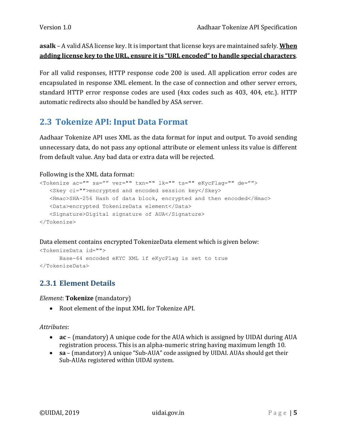**asalk** – A valid ASA license key. It is important that license keys are maintained safely. **When adding license key to the URL, ensure it is "URL encoded" to handle special characters**.

For all valid responses, HTTP response code 200 is used. All application error codes are encapsulated in response XML element. In the case of connection and other server errors, standard HTTP error response codes are used (4xx codes such as 403, 404, etc.). HTTP automatic redirects also should be handled by ASA server.

# <span id="page-4-0"></span>**2.3 Tokenize API: Input Data Format**

Aadhaar Tokenize API uses XML as the data format for input and output. To avoid sending unnecessary data, do not pass any optional attribute or element unless its value is different from default value. Any bad data or extra data will be rejected.

#### Following is the XML data format:

```
<Tokenize ac="" sa="" ver="" txn="" lk="" ts="" eKycFlag="" de="">
    <Skey ci="">encrypted and encoded session key</Skey>
    <Hmac>SHA-256 Hash of data block, encrypted and then encoded</Hmac>
    <Data>encrypted TokenizeData element</Data>
    <Signature>Digital signature of AUA</Signature>
</Tokenize>
```
Data element contains encrypted TokenizeData element which is given below:

```
<TokenizeData id="">
      Base-64 encoded eKYC XML if eKycFlag is set to true
</TokenizeData>
```
### <span id="page-4-1"></span>**2.3.1 Element Details**

*Element*: **Tokenize** (mandatory)

Root element of the input XML for Tokenize API.

#### *Attributes*:

- **ac**  (mandatory) A unique code for the AUA which is assigned by UIDAI during AUA registration process. This is an alpha-numeric string having maximum length 10.
- **sa**  (mandatory) A unique "Sub-AUA" code assigned by UIDAI. AUAs should get their Sub-AUAs registered within UIDAI system.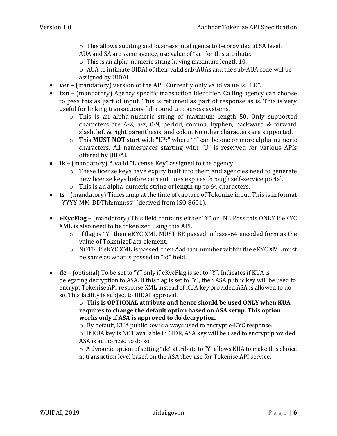$\circ$  This allows auditing and business intelligence to be provided at SA level. If AUA and SA are same agency, use value of "ac" for this attribute.

 $\circ$  This is an alpha-numeric string having maximum length 10.

 $\circ$  AUA to intimate UIDAI of their valid sub-AUAs and the sub-AUA code will be assigned by UIDAI.

- **ver**  (mandatory) version of the API. Currently only valid value is "1.0".
- **txn**  (mandatory) Agency specific transaction identifier. Calling agency can choose to pass this as part of input. This is returned as part of response as is. This is very useful for linking transactions full round trip across systems.
	- o This is an alpha-numeric string of maximum length 50. Only supported characters are A-Z, a-z, 0-9, period, comma, hyphen, backward & forward slash, left & right parenthesis, and colon. No other characters are supported.
	- o This **MUST NOT** start with **"U\*:"** where "\*" can be one or more alpha-numeric characters. All namespaces starting with "U" is reserved for various APIs offered by UIDAI.
- **lk**  (mandatory) A valid "License Key" assigned to the agency.
	- o These license keys have expiry built into them and agencies need to generate new license keys before current ones expires through self-service portal.
	- o This is an alpha-numeric string of length up to 64 characters.
- **ts**  (mandatory) Timestamp at the time of capture of Tokenize input. This is in format "YYYY-MM-DDThh:mm:ss" (derived from ISO 8601).
- **eKycFlag** (mandatory) This field contains either "Y" or "N". Pass this ONLY if eKYC XML is also need to be tokenized using this API.
	- o If flag is "Y" then eKYC XML MUST BE passed in base-64 encoded form as the value of TokenizeData element.
	- o NOTE: if eKYC XML is passed, then Aadhaar number within the eKYC XML must be same as what is passed in "id" field.
- **de**  (optional) To be set to "Y" only if eKycFlag is set to "Y". Indicates if KUA is delegating decryption to ASA. If this flag is set to "Y", then ASA public key will be used to encrypt Tokenise API response XML instead of KUA key provided ASA is allowed to do so. This facility is subject to UIDAI approval.

o **This is OPTIONAL attribute and hence should be used ONLY when KUA requires to change the default option based on ASA setup. This option works only if ASA is approved to do decryption**.

o By default, KUA public key is always used to encrypt e-KYC response.

o If KUA key is NOT available in CIDR, ASA key will be used to encrypt provided ASA is authorized to do so.

o A dynamic option of setting "de" attribute to "Y" allows KUA to make this choice at transaction level based on the ASA they use for Tokenise API service.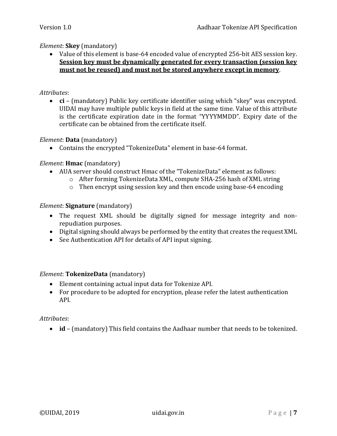#### *Element*: **Skey** (mandatory)

 Value of this element is base-64 encoded value of encrypted 256-bit AES session key. **Session key must be dynamically generated for every transaction (session key must not be reused) and must not be stored anywhere except in memory**.

#### *Attributes*:

 **ci** – (mandatory) Public key certificate identifier using which "skey" was encrypted. UIDAI may have multiple public keys in field at the same time. Value of this attribute is the certificate expiration date in the format "YYYYMMDD". Expiry date of the certificate can be obtained from the certificate itself.

#### *Element*: **Data** (mandatory)

Contains the encrypted "TokenizeData" element in base-64 format.

#### *Element*: **Hmac** (mandatory)

- AUA server should construct Hmac of the "TokenizeData" element as follows:
	- o After forming TokenizeData XML, compute SHA-256 hash of XML string
	- o Then encrypt using session key and then encode using base-64 encoding

#### *Element*: **Signature** (mandatory)

- The request XML should be digitally signed for message integrity and nonrepudiation purposes.
- Digital signing should always be performed by the entity that creates the request XML
- See Authentication API for details of API input signing.

#### *Element*: **TokenizeData** (mandatory)

- Element containing actual input data for Tokenize API.
- For procedure to be adopted for encryption, please refer the latest authentication API.

#### *Attributes*:

**id** – (mandatory) This field contains the Aadhaar number that needs to be tokenized.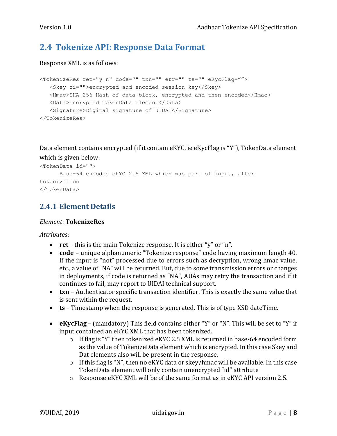# <span id="page-7-0"></span>**2.4 Tokenize API: Response Data Format**

#### Response XML is as follows:

```
<TokenizeRes ret="y|n" code="" txn="" err="" ts="" eKycFlag="">
    <Skey ci="">encrypted and encoded session key</Skey>
    <Hmac>SHA-256 Hash of data block, encrypted and then encoded</Hmac>
    <Data>encrypted TokenData element</Data>
    <Signature>Digital signature of UIDAI</Signature>
</TokenizeRes>
```
Data element contains encrypted (if it contain eKYC, ie eKycFlag is "Y"), TokenData element which is given below:

```
<TokenData id="">
     Base-64 encoded eKYC 2.5 XML which was part of input, after 
tokenization
</TokenData>
```
### <span id="page-7-1"></span>**2.4.1 Element Details**

#### *Element*: **TokenizeRes**

*Attributes*:

- **ret** this is the main Tokenize response. It is either "y" or "n".
- **code**  unique alphanumeric "Tokenize response" code having maximum length 40. If the input is "not" processed due to errors such as decryption, wrong hmac value, etc., a value of "NA" will be returned. But, due to some transmission errors or changes in deployments, if code is returned as "NA", AUAs may retry the transaction and if it continues to fail, may report to UIDAI technical support.
- **txn**  Authenticator specific transaction identifier. This is exactly the same value that is sent within the request.
- **ts**  Timestamp when the response is generated. This is of type XSD dateTime.
- **eKycFlag** (mandatory) This field contains either "Y" or "N". This will be set to "Y" if input contained an eKYC XML that has been tokenized.
	- o If flag is "Y" then tokenized eKYC 2.5 XML is returned in base-64 encoded form as the value of TokenizeData element which is encrypted. In this case Skey and Dat elements also will be present in the response.
	- o If this flag is "N", then no eKYC data or skey/hmac will be available. In this case TokenData element will only contain unencrypted "id" attribute
	- o Response eKYC XML will be of the same format as in eKYC API version 2.5.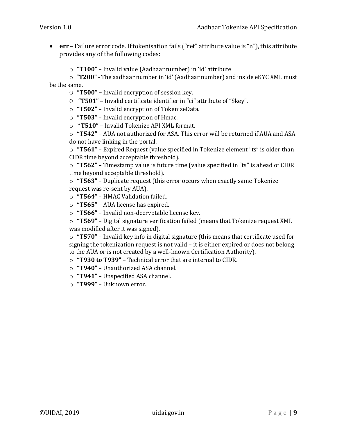- **err**  Failure error code. If tokenisation fails ("ret" attribute value is "n"), this attribute provides any of the following codes:
	- o **"T100"**  Invalid value (Aadhaar number) in 'id' attribute

o **"T200" -** The aadhaar number in 'id'(Aadhaar number) and inside eKYC XML must be the same.

- O **"T500" –** Invalid encryption of session key.
- O **"T501"**  Invalid certificate identifier in "ci" attribute of "Skey".
- o **"T502"**  Invalid encryption of TokenizeData.
- o **"T503"**  Invalid encryption of Hmac.
- o "**T510"**  Invalid Tokenize API XML format.

o **"T542"** – AUA not authorized for ASA. This error will be returned if AUA and ASA do not have linking in the portal.

o **"T561"** – Expired Request (value specified in Tokenize element "ts" is older than CIDR time beyond acceptable threshold).

o **"T562"** – Timestamp value is future time (value specified in "ts" is ahead of CIDR time beyond acceptable threshold).

o **"T563"** – Duplicate request (this error occurs when exactly same Tokenize request was re-sent by AUA).

- o **"T564"**  HMAC Validation failed.
- o **"T565"**  AUA license has expired.
- o **"T566"**  Invalid non-decryptable license key.

o **"T569"** – Digital signature verification failed (means that Tokenize request XML was modified after it was signed).

o **"T570"** – Invalid key info in digital signature (this means that certificate used for signing the tokenization request is not valid – it is either expired or does not belong to the AUA or is not created by a well-known Certification Authority).

- o **"T930 to T939"**  Technical error that are internal to CIDR.
- o **"T940"**  Unauthorized ASA channel.
- o **"T941"**  Unspecified ASA channel.
- o **"T999"**  Unknown error.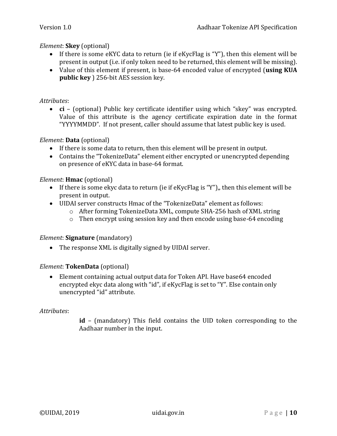#### *Element*: **Skey** (optional)

- If there is some eKYC data to return (ie if eKycFlag is "Y"), then this element will be present in output (i.e. if only token need to be returned, this element will be missing).
- Value of this element if present, is base-64 encoded value of encrypted (**using KUA public key** ) 256-bit AES session key.

#### *Attributes*:

 **ci** – (optional) Public key certificate identifier using which "skey" was encrypted. Value of this attribute is the agency certificate expiration date in the format "YYYYMMDD". If not present, caller should assume that latest public key is used.

#### *Element*: **Data** (optional)

- If there is some data to return, then this element will be present in output.
- Contains the "TokenizeData" element either encrypted or unencrypted depending on presence of eKYC data in base-64 format.

#### *Element*: **Hmac** (optional)

- If there is some ekyc data to return (ie if eKycFlag is "Y"),, then this element will be present in output.
- UIDAI server constructs Hmac of the "TokenizeData" element as follows:
	- o After forming TokenizeData XML, compute SHA-256 hash of XML string
	- o Then encrypt using session key and then encode using base-64 encoding

#### *Element*: **Signature** (mandatory)

• The response XML is digitally signed by UIDAI server.

#### *Element*: **TokenData** (optional)

 Element containing actual output data for Token API. Have base64 encoded encrypted ekyc data along with "id", if eKycFlag is set to "Y". Else contain only unencrypted "id" attribute.

#### *Attributes*:

**id** – (mandatory) This field contains the UID token corresponding to the Aadhaar number in the input.